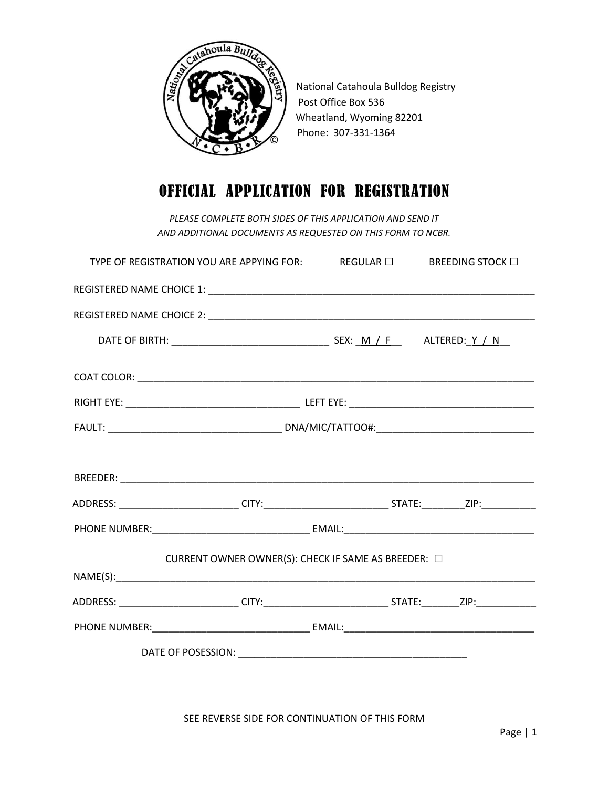

National Catahoula Bulldog Registry Post Office Box 536 Wheatland, Wyoming 82201 Phone: 307-331-1364

## OFFICIAL APPLICATION FOR REGISTRATION

*PLEASE COMPLETE BOTH SIDES OF THIS APPLICATION AND SEND IT AND ADDITIONAL DOCUMENTS AS REQUESTED ON THIS FORM TO NCBR.*

|                                                          |                                                                                                            |  | TYPE OF REGISTRATION YOU ARE APPYING FOR: REGULAR □ BREEDING STOCK □ |  |  |
|----------------------------------------------------------|------------------------------------------------------------------------------------------------------------|--|----------------------------------------------------------------------|--|--|
|                                                          |                                                                                                            |  |                                                                      |  |  |
|                                                          |                                                                                                            |  |                                                                      |  |  |
|                                                          |                                                                                                            |  |                                                                      |  |  |
|                                                          |                                                                                                            |  |                                                                      |  |  |
|                                                          |                                                                                                            |  |                                                                      |  |  |
|                                                          |                                                                                                            |  |                                                                      |  |  |
|                                                          |                                                                                                            |  |                                                                      |  |  |
|                                                          |                                                                                                            |  |                                                                      |  |  |
|                                                          | ADDRESS: ___________________________CITY:________________________________STATE:____________ZIP:___________ |  |                                                                      |  |  |
|                                                          |                                                                                                            |  |                                                                      |  |  |
| CURRENT OWNER OWNER(S): CHECK IF SAME AS BREEDER: $\Box$ |                                                                                                            |  |                                                                      |  |  |
|                                                          |                                                                                                            |  |                                                                      |  |  |
|                                                          |                                                                                                            |  |                                                                      |  |  |
|                                                          |                                                                                                            |  |                                                                      |  |  |
|                                                          |                                                                                                            |  |                                                                      |  |  |
|                                                          |                                                                                                            |  |                                                                      |  |  |

SEE REVERSE SIDE FOR CONTINUATION OF THIS FORM